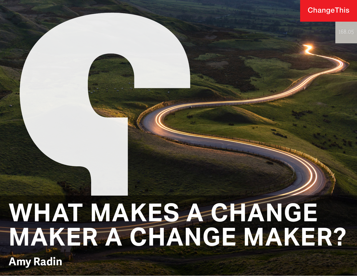#### ChangeThis

# **WHAT MAKES A CHANGE MAKER A CHANGE MAKER?**

**Amy Radin**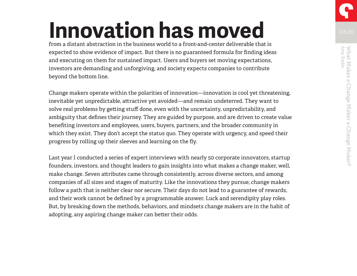# **Innovation has moved**

from a distant abstraction in the business world to a front-and-center deliverable that is expected to show evidence of impact. But there is no guaranteed formula for finding ideas and executing on them for sustained impact. Users and buyers set moving expectations, investors are demanding and unforgiving, and society expects companies to contribute beyond the bottom line.

Change makers operate within the polarities of innovation—innovation is cool yet threatening, inevitable yet unpredictable, attractive yet avoided—and remain undeterred. They want to solve real problems by getting stuff done, even with the uncertainty, unpredictability, and ambiguity that defines their journey. They are guided by purpose, and are driven to create value benefiting investors and employees, users, buyers, partners, and the broader community in which they exist. They don't accept the status quo. They operate with urgency, and speed their progress by rolling up their sleeves and learning on the fly.

Last year I conducted a series of expert interviews with nearly 50 corporate innovators, startup founders, investors, and thought leaders to gain insights into what makes a change maker, well, make change. Seven attributes came through consistently, across diverse sectors, and among companies of all sizes and stages of maturity. Like the innovations they pursue, change makers follow a path that is neither clear nor secure. Their days do not lead to a guarantee of rewards, and their work cannot be defined by a programmable answer. Luck and serendipity play roles. But, by breaking down the methods, behaviors, and mindsets change makers are in the habit of adopting, any aspiring change maker can better their odds.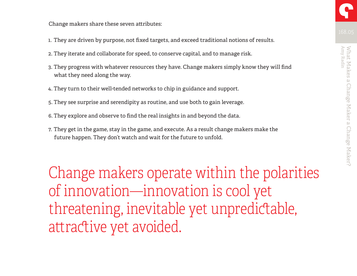Change makers share these seven attributes:

- 1. They are driven by purpose, not fixed targets, and exceed traditional notions of results.
- 2. They iterate and collaborate for speed, to conserve capital, and to manage risk.
- 3. They progress with whatever resources they have. Change makers simply know they will find what they need along the way.
- 4. They turn to their well-tended networks to chip in guidance and support.
- 5. They see surprise and serendipity as routine, and use both to gain leverage.
- 6. They explore and observe to find the real insights in and beyond the data.
- 7. They get in the game, stay in the game, and execute. As a result change makers make the future happen. They don't watch and wait for the future to unfold.

Change makers operate within the polarities of innovation—innovation is cool yet threatening, inevitable yet unpredictable, attractive yet avoided.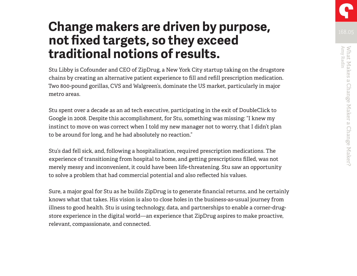### **Change makers are driven by purpose, not fixed targets, so they exceed traditional notions of results.**

Stu Libby is Cofounder and CEO of ZipDrug, a New York City startup taking on the drugstore chains by creating an alternative patient experience to fill and refill prescription medication. Two 800-pound gorillas, CVS and Walgreen's, dominate the US market, particularly in major metro areas.

Stu spent over a decade as an ad tech executive, participating in the exit of DoubleClick to Google in 2008. Despite this accomplishment, for Stu, something was missing: "I knew my instinct to move on was correct when I told my new manager not to worry, that I didn't plan to be around for long, and he had absolutely no reaction."

Stu's dad fell sick, and, following a hospitalization, required prescription medications. The experience of transitioning from hospital to home, and getting prescriptions filled, was not merely messy and inconvenient, it could have been life-threatening. Stu saw an opportunity to solve a problem that had commercial potential and also reflected his values.

Sure, a major goal for Stu as he builds ZipDrug is to generate financial returns, and he certainly knows what that takes. His vision is also to close holes in the business-as-usual journey from illness to good health. Stu is using technology, data, and partnerships to enable a corner-drugstore experience in the digital world—an experience that ZipDrug aspires to make proactive, relevant, compassionate, and connected.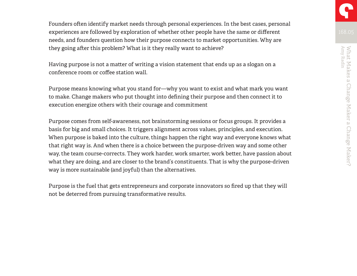Founders often identify market needs through personal experiences. In the best cases, personal experiences are followed by exploration of whether other people have the same or different needs, and founders question how their purpose connects to market opportunities. Why are they going after this problem? What is it they really want to achieve?

Having purpose is not a matter of writing a vision statement that ends up as a slogan on a conference room or coffee station wall.

Purpose means knowing what you stand for—why you want to exist and what mark you want to make. Change makers who put thought into defining their purpose and then connect it to execution energize others with their courage and commitment

Purpose comes from self-awareness, not brainstorming sessions or focus groups. It provides a basis for big and small choices. It triggers alignment across values, principles, and execution. When purpose is baked into the culture, things happen the right way and everyone knows what that right way is. And when there is a choice between the purpose-driven way and some other way, the team course-corrects. They work harder, work smarter, work better, have passion about what they are doing, and are closer to the brand's constituents. That is why the purpose-driven way is more sustainable (and joyful) than the alternatives.

Purpose is the fuel that gets entrepreneurs and corporate innovators so fired up that they will not be deterred from pursuing transformative results.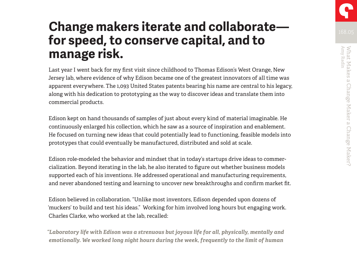### **Change makers iterate and collaborate for speed, to conserve capital, and to manage risk.**

Last year I went back for my first visit since childhood to Thomas Edison's West Orange, New Jersey lab, where evidence of why Edison became one of the greatest innovators of all time was apparent everywhere. The 1,093 United States patents bearing his name are central to his legacy, along with his dedication to prototyping as the way to discover ideas and translate them into commercial products.

Edison kept on hand thousands of samples of just about every kind of material imaginable. He continuously enlarged his collection, which he saw as a source of inspiration and enablement. He focused on turning new ideas that could potentially lead to functioning, feasible models into prototypes that could eventually be manufactured, distributed and sold at scale.

Edison role-modeled the behavior and mindset that in today's startups drive ideas to commercialization. Beyond iterating in the lab, he also iterated to figure out whether business models supported each of his inventions. He addressed operational and manufacturing requirements, and never abandoned testing and learning to uncover new breakthroughs and confirm market fit.

Edison believed in collaboration. "Unlike most inventors, Edison depended upon dozens of 'muckers' to build and test his ideas." Working for him involved long hours but engaging work. Charles Clarke, who worked at the lab, recalled:

*"Laboratory life with Edison was a strenuous but joyous life for all, physically, mentally and emotionally. We worked long night hours during the week, frequently to the limit of human*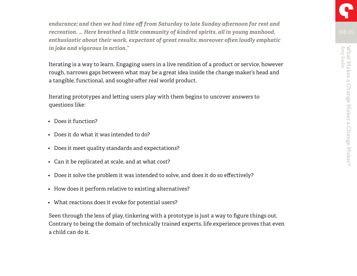*endurance; and then we had time off from Saturday to late Sunday afternoon for rest and recreation. … Here breathed a little community of kindred spirits, all in young manhood, enthusiastic about their work, expectant of great results; moreover often loudly emphatic in joke and vigorous in action."* 

Iterating is a way to learn. Engaging users in a live rendition of a product or service, however rough, narrows gaps between what may be a great idea inside the change maker's head and a tangible, functional, and sought-after real world product.

Iterating prototypes and letting users play with them begins to uncover answers to questions like:

- Does it function?
- Does it do what it was intended to do?
- Does it meet quality standards and expectations?
- Can it be replicated at scale, and at what cost?
- Does it solve the problem it was intended to solve, and does it do so effectively?
- How does it perform relative to existing alternatives?
- What reactions does it evoke for potential users?

Seen through the lens of play, tinkering with a prototype is just a way to figure things out. Contrary to being the domain of technically trained experts, life experience proves that even a child can do it.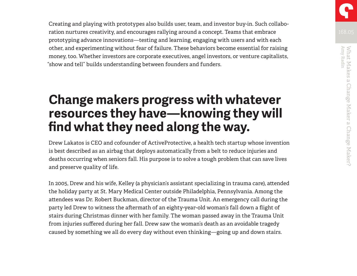Creating and playing with prototypes also builds user, team, and investor buy-in. Such collaboration nurtures creativity, and encourages rallying around a concept. Teams that embrace prototyping advance innovations—testing and learning, engaging with users and with each other, and experimenting without fear of failure. These behaviors become essential for raising money, too. Whether investors are corporate executives, angel investors, or venture capitalists, "show and tell" builds understanding between founders and funders.

#### **Change makers progress with whatever resources they have—knowing they will find what they need along the way.**

Drew Lakatos is CEO and cofounder of ActiveProtective, a health tech startup whose invention is best described as an airbag that deploys automatically from a belt to reduce injuries and deaths occurring when seniors fall. His purpose is to solve a tough problem that can save lives and preserve quality of life.

In 2005, Drew and his wife, Kelley (a physician's assistant specializing in trauma care), attended the holiday party at St. Mary Medical Center outside Philadelphia, Pennsylvania. Among the attendees was Dr. Robert Buckman, director of the Trauma Unit. An emergency call during the party led Drew to witness the aftermath of an eighty-year-old woman's fall down a flight of stairs during Christmas dinner with her family. The woman passed away in the Trauma Unit from injuries suffered during her fall. Drew saw the woman's death as an avoidable tragedy caused by something we all do every day without even thinking—going up and down stairs.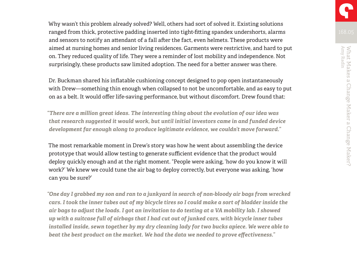Why wasn't this problem already solved? Well, others had sort of solved it. Existing solutions ranged from thick, protective padding inserted into tight-fitting spandex undershorts, alarms and sensors to notify an attendant of a fall after the fact, even helmets. These products were aimed at nursing homes and senior living residences. Garments were restrictive, and hard to put on. They reduced quality of life. They were a reminder of lost mobility and independence. Not surprisingly, these products saw limited adoption. The need for a better answer was there.

Dr. Buckman shared his inflatable cushioning concept designed to pop open instantaneously with Drew—something thin enough when collapsed to not be uncomfortable, and as easy to put on as a belt. It would offer life-saving performance, but without discomfort. Drew found that:

*"There are a million great ideas. The interesting thing about the evolution of our idea was that research suggested it would work, but until initial investors came in and funded device development far enough along to produce legitimate evidence, we couldn't move forward."* 

The most remarkable moment in Drew's story was how he went about assembling the device prototype that would allow testing to generate sufficient evidence that the product would deploy quickly enough and at the right moment. "People were asking, 'how do you know it will work?' We knew we could tune the air bag to deploy correctly, but everyone was asking, 'how can you be sure?'

*"One day I grabbed my son and ran to a junkyard in search of non-bloody air bags from wrecked cars. I took the inner tubes out of my bicycle tires so I could make a sort of bladder inside the air bags to adjust the loads. I got an invitation to do testing at a VA mobility lab. I showed up with a suitcase full of airbags that I had cut out of junked cars, with bicycle inner tubes installed inside, sewn together by my dry cleaning lady for two bucks apiece. We were able to beat the best product on the market. We had the data we needed to prove effectiveness."*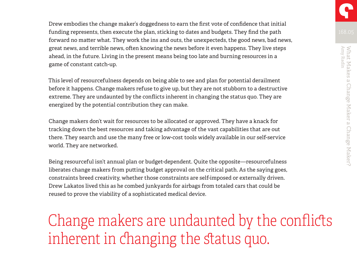Drew embodies the change maker's doggedness to earn the first vote of confidence that initial funding represents, then execute the plan, sticking to dates and budgets. They find the path forward no matter what. They work the ins and outs, the unexpecteds, the good news, bad news, great news, and terrible news, often knowing the news before it even happens. They live steps ahead, in the future. Living in the present means being too late and burning resources in a game of constant catch-up.

This level of resourcefulness depends on being able to see and plan for potential derailment before it happens. Change makers refuse to give up, but they are not stubborn to a destructive extreme. They are undaunted by the conflicts inherent in changing the status quo. They are energized by the potential contribution they can make.

Change makers don't wait for resources to be allocated or approved. They have a knack for tracking down the best resources and taking advantage of the vast capabilities that are out there. They search and use the many free or low-cost tools widely available in our self-service world. They are networked.

Being resourceful isn't annual plan or budget-dependent. Quite the opposite—resourcefulness liberates change makers from putting budget approval on the critical path. As the saying goes, constraints breed creativity, whether those constraints are self-imposed or externally driven. Drew Lakatos lived this as he combed junkyards for airbags from totaled cars that could be reused to prove the viability of a sophisticated medical device.

## Change makers are undaunted by the conflicts inherent in changing the status quo.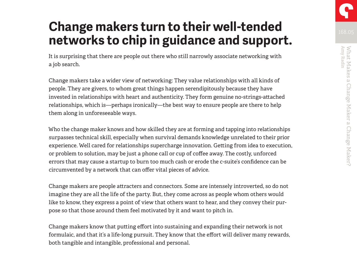### **Change makers turn to their well-tended networks to chip in guidance and support.**

It is surprising that there are people out there who still narrowly associate networking with a job search.

Change makers take a wider view of networking: They value relationships with all kinds of people. They are givers, to whom great things happen serendipitously because they have invested in relationships with heart and authenticity. They form genuine no-strings-attached relationships, which is—perhaps ironically—the best way to ensure people are there to help them along in unforeseeable ways.

Who the change maker knows and how skilled they are at forming and tapping into relationships surpasses technical skill, especially when survival demands knowledge unrelated to their prior experience. Well cared for relationships supercharge innovation. Getting from idea to execution, or problem to solution, may be just a phone call or cup of coffee away. The costly, unforced errors that may cause a startup to burn too much cash or erode the c-suite's confidence can be circumvented by a network that can offer vital pieces of advice.

Change makers are people attracters and connectors. Some are intensely introverted, so do not imagine they are all the life of the party. But, they come across as people whom others would like to know, they express a point of view that others want to hear, and they convey their purpose so that those around them feel motivated by it and want to pitch in.

Change makers know that putting effort into sustaining and expanding their network is not formulaic, and that it's a life-long pursuit. They know that the effort will deliver many rewards, both tangible and intangible, professional and personal.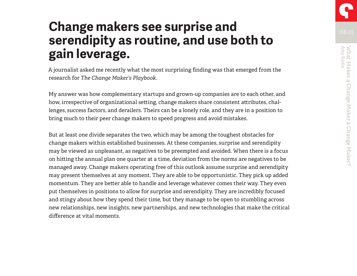### **Change makers see surprise and serendipity as routine, and use both to gain leverage.**

A journalist asked me recently what the most surprising finding was that emerged from the research for *The Change Maker's Playbook*.

My answer was how complementary startups and grown-up companies are to each other, and how, irrespective of organizational setting, change makers share consistent attributes, challenges, success factors, and derailers. Theirs can be a lonely role, and they are in a position to bring much to their peer change makers to speed progress and avoid mistakes.

But at least one divide separates the two, which may be among the toughest obstacles for change makers within established businesses. At these companies, surprise and serendipity may be viewed as unpleasant, as negatives to be preempted and avoided. When there is a focus on hitting the annual plan one quarter at a time, deviation from the norms are negatives to be managed away. Change makers operating free of this outlook assume surprise and serendipity may present themselves at any moment. They are able to be opportunistic. They pick up added momentum. They are better able to handle and leverage whatever comes their way. They even put themselves in positions to allow for surprise and serendipity. They are incredibly focused and stingy about how they spend their time, but they manage to be open to stumbling across new relationships, new insights, new partnerships, and new technologies that make the critical difference at vital moments.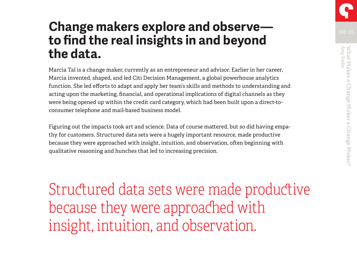. Change Maker a Change Maker?

### **Change makers explore and observe to find the real insights in and beyond the data.**

Marcia Tal is a change maker, currently as an entrepreneur and advisor. Earlier in her career, Marcia invented, shaped, and led Citi Decision Management, a global powerhouse analytics function. She led efforts to adapt and apply her team's skills and methods to understanding and acting upon the marketing, financial, and operational implications of digital channels as they were being opened up within the credit card category, which had been built upon a direct-toconsumer telephone and mail-based business model.

Figuring out the impacts took art and science. Data of course mattered, but so did having empathy for customers. Structured data sets were a hugely important resource, made productive because they were approached with insight, intuition, and observation, often beginning with qualitative reasoning and hunches that led to increasing precision.

Structured data sets were made productive because they were approached with insight, intuition, and observation.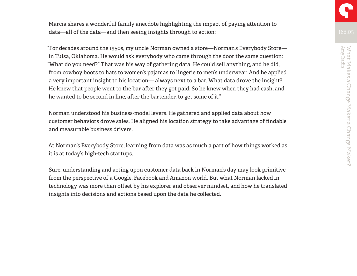Marcia shares a wonderful family anecdote highlighting the impact of paying attention to data—all of the data—and then seeing insights through to action:

"For decades around the 1950s, my uncle Norman owned a store—Norman's Everybody Store in Tulsa, Oklahoma. He would ask everybody who came through the door the same question: "What do you need?" That was his way of gathering data. He could sell anything, and he did, from cowboy boots to hats to women's pajamas to lingerie to men's underwear. And he applied a very important insight to his location— always next to a bar. What data drove the insight? He knew that people went to the bar after they got paid. So he knew when they had cash, and he wanted to be second in line, after the bartender, to get some of it."

Norman understood his business-model levers. He gathered and applied data about how customer behaviors drove sales. He aligned his location strategy to take advantage of findable and measurable business drivers.

At Norman's Everybody Store, learning from data was as much a part of how things worked as it is at today's high-tech startups.

Sure, understanding and acting upon customer data back in Norman's day may look primitive from the perspective of a Google, Facebook and Amazon world. But what Norman lacked in technology was more than offset by his explorer and observer mindset, and how he translated insights into decisions and actions based upon the data he collected.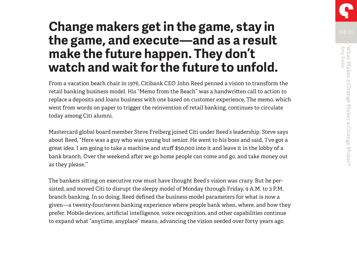### **Change makers get in the game, stay in the game, and execute—and as a result make the future happen. They don't watch and wait for the future to unfold.**

From a vacation beach chair in 1976, Citibank CEO John Reed penned a vision to transform the retail banking business model. His "Memo from the Beach" was a handwritten call to action to replace a deposits and loans business with one based on customer experience. The memo, which went from words on paper to trigger the reinvention of retail banking, continues to circulate today among Citi alumni.

Mastercard global board member Steve Freiberg joined Citi under Reed's leadership. Steve says about Reed, "Here was a guy who was young but senior. He went to his boss and said, 'I've got a great idea. I am going to take a machine and stuff \$50,000 into it and leave it in the lobby of a bank branch. Over the weekend after we go home people can come and go, and take money out as they please.'"

The bankers sitting on executive row must have thought Reed's vision was crazy. But he persisted, and moved Citi to disrupt the sleepy model of Monday through Friday, 9 A.M. to 3 P.M. branch banking. In so doing, Reed defined the business model parameters for what is now a given—a twenty-four/seven banking experience where people bank when, where, and how they prefer. Mobile devices, artificial intelligence, voice recognition, and other capabilities continue to expand what "anytime, anyplace" means, advancing the vision seeded over forty years ago.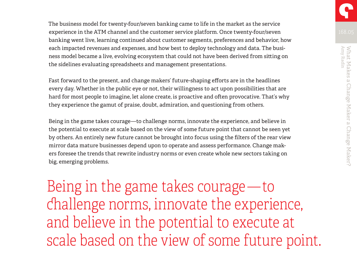The business model for twenty-four/seven banking came to life in the market as the service experience in the ATM channel and the customer service platform. Once twenty-four/seven banking went live, learning continued about customer segments, preferences and behavior, how each impacted revenues and expenses, and how best to deploy technology and data. The business model became a live, evolving ecosystem that could not have been derived from sitting on the sidelines evaluating spreadsheets and management presentations.

Fast forward to the present, and change makers' future-shaping efforts are in the headlines every day. Whether in the public eye or not, their willingness to act upon possibilities that are hard for most people to imagine, let alone create, is proactive and often provocative. That's why they experience the gamut of praise, doubt, admiration, and questioning from others.

Being in the game takes courage—to challenge norms, innovate the experience, and believe in the potential to execute at scale based on the view of some future point that cannot be seen yet by others. An entirely new future cannot be brought into focus using the filters of the rear view mirror data mature businesses depend upon to operate and assess performance. Change makers foresee the trends that rewrite industry norms or even create whole new sectors taking on big, emerging problems.

Being in the game takes courage —to challenge norms, innovate the experience, and believe in the potential to execute at scale based on the view of some future point.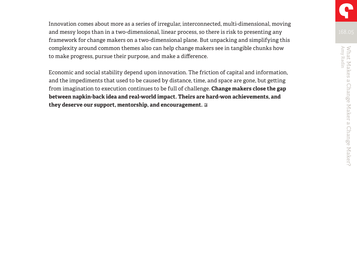Innovation comes about more as a series of irregular, interconnected, multi-dimensional, moving and messy loops than in a two-dimensional, linear process, so there is risk to presenting any framework for change makers on a two-dimensional plane. But unpacking and simplifying this complexity around common themes also can help change makers see in tangible chunks how to make progress, pursue their purpose, and make a difference.

Economic and social stability depend upon innovation. The friction of capital and information, and the impediments that used to be caused by distance, time, and space are gone, but getting from imagination to execution continues to be full of challenge. **Change makers close the gap between napkin-back idea and real-world impact. Theirs are hard-won achievements, and they deserve our support, mentorship, and encouragement.**